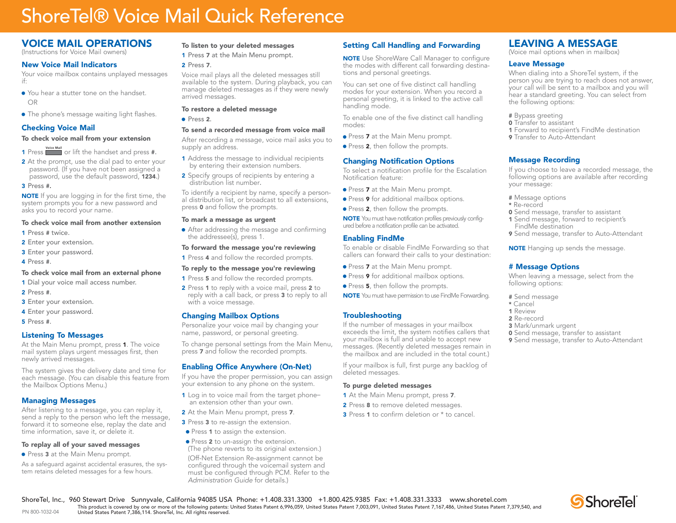# ShoreTel® Voice Mail Quick Reference

## VOICE MAIL OPERATIONS

(Instructions for Voice Mail owners)

## New Voice Mail Indicators

Your voice mailbox contains unplayed messages if:

- $\bullet$  You hear a stutter tone on the handset. OR
- The phone's message waiting light flashes.

## Checking Voice Mail

#### To check voice mail from your extension

- 1 Press **Voice Mail** or lift the handset and press #.
- 2 At the prompt, use the dial pad to enter your password. (If you have not been assigned a password, use the default password, 1234.)

#### 3 Press #.

**NOTE** If you are logging in for the first time, the system prompts you for a new password and asks you to record your name.

#### To check voice mail from another extension

- 1 Press # twice.
- 2 Enter your extension.
- 3 Enter your password.
- 4 Press #.

#### To check voice mail from an external phone

- 1 Dial your voice mail access number.
- 2 Press #.
- 3 Enter your extension.
- <sup>4</sup> Enter your password.
- 5 Press #.

PN 800-1032-04

## Listening To Messages

At the Main Menu prompt, press 1. The voice mail system plays urgent messages first, then newly arrived messages.

The system gives the delivery date and time for each message. (You can disable this feature from the Mailbox Options Menu.)

## Managing Messages

After listening to a message, you can replay it, send a reply to the person who left the message, forward it to someone else, replay the date and time information, save it, or delete it.

#### To replay all of your saved messages

• Press 3 at the Main Menu prompt.

As a safeguard against accidental erasures, the system retains deleted messages for a few hours.

## To listen to your deleted messages

1 Press 7 at the Main Menu prompt.

#### 2 Press 7.

Voice mail plays all the deleted messages still available to the system. During playback, you can manage deleted messages as if they were newly arrived messages.

#### To restore a deleted message

 $\bullet$  Press 2.

#### To send a recorded message from voice mail

After recording a message, voice mail asks you to supply an address.

- 1 Address the message to individual recipients by entering their extension numbers.
- **2** Specify groups of recipients by entering a distribution list number.

To identify a recipient by name, specify a personal distribution list, or broadcast to all extensions, press <sup>0</sup> and follow the prompts.

#### To mark a message as urgent

- After addressing the message and confirming the addressee(s), press 1.
- To forward the message you're reviewing
- **1** Press **4** and follow the recorded prompts.

## To reply to the message you're reviewing

- **1** Press **5** and follow the recorded prompts.
- 2 Press 1 to reply with a voice mail, press 2 to reply with a call back, or press <sup>3</sup> to reply to all with a voice message.

#### Changing Mailbox Options

Personalize your voice mail by changing your name, password, or personal greeting.

To change personal settings from the Main Menu, press <sup>7</sup> and follow the recorded prompts.

## Enabling Office Anywhere (On-Net)

If you have the proper permission, you can assign your extension to any phone on the system.

- 1 Log in to voice mail from the target phonean extension other than your own.
- 2 At the Main Menu prompt, press 7.
- 3 Press 3 to re-assign the extension.
- Press 1 to assign the extension.
- Press 2 to un-assign the extension. (The phone reverts to its original extension.)

 (Off-Net Extension Re-assignment cannot be configured through the voicemail system and must be configured through PCM. Refer to the *Administration Guide* for details.)

ShoreTel, Inc., 960 Stewart Drive Sunnyvale, California 94085 USA Phone: +1.408.331.3300 +1.800.425.9385 Fax: +1.408.331.3333 www.shoretel.com

This product is covered by one or more of the following patents: United States Patent 6,996,059, United States Patent 7,003,091, United States Patent 7,167,486, United States Patent 7,379,540, and<br>United States Patent 7,38

## Setting Call Handling and Forwarding

**NOTE** Use ShoreWare Call Manager to configure the modes with different call forwarding destinations and personal greetings.

You can set one of five distinct call handling modes for your extension. When you record a personal greeting, it is linked to the active call handling mode.

To enable one of the five distinct call handling modes:

- Press 7 at the Main Menu prompt.
- Press 2, then follow the prompts.

## Changing Notification Options

To select a notification profile for the Escalation Notification feature:

- Press 7 at the Main Menu prompt.
- **Press 9** for additional mailbox options.
- Press 2, then follow the prompts.

NOTE You must have notification profiles previously configured before a notification profile can be activated.

### Enabling FindMe

To enable or disable FindMe Forwarding so that callers can forward their calls to your destination:

- Press 7 at the Main Menu prompt.
- Press 9 for additional mailbox options.
- Press 5, then follow the prompts.
- NOTE You must have permission to use FindMe Forwarding.

### **Troubleshooting**

If the number of messages in your mailbox exceeds the limit, the system notifies callers that your mailbox is full and unable to accept new messages. (Recently deleted messages remain in the mailbox and are included in the total count.)

If your mailbox is full, first purge any backlog of deleted messages.

#### To purge deleted messages

- 1 At the Main Menu prompt, press 7.
- 2 Press 8 to remove deleted messages.
- **3** Press **1** to confirm deletion or  $*$  to cancel.

## LEAVING A MESSAGE

(Voice mail options when in mailbox)

#### Leave Message

When dialing into a ShoreTel system, if the person you are trying to reach does not answer, your call will be sent to a mailbox and you will hear a standard greeting. You can select from the following options:

- # Bypass greeting
- **0** Transfer to assistant
- 1 Forward to recipient's FindMe destination
- **9** Transfer to Auto-Attendant

## Message Recording

# Message Options

<sup>3</sup> Mark/unmark urgent

following options: # Send message \* Cancel1 Review2 Re-record

If you choose to leave a recorded message, the following options are available after recording your message:

- # Message options
- \* Re-record
- **0** Send message, transfer to assistant
- <sup>1</sup> Send message, forward to recipient's FindMe destination

<sup>9</sup> Send message, transfer to Auto-Attendant **NOTE** Hanging up sends the message.

When leaving a message, select from the

**0** Send message, transfer to assistant <sup>9</sup> Send message, transfer to Auto-Attendant

**S**ShoreTel